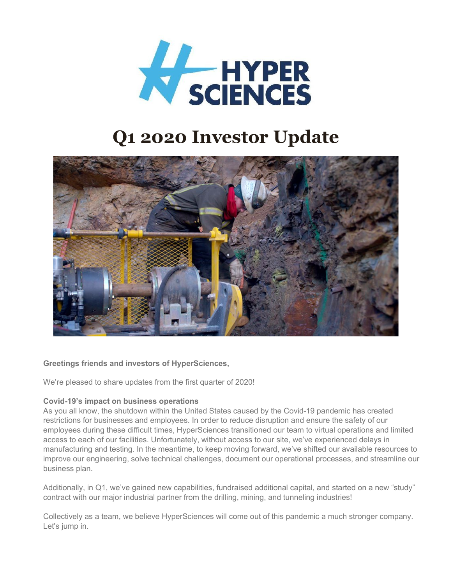

# **Q1 2020 Investor Update**



# **Greetings friends and investors of HyperSciences,**

We're pleased to share updates from the first quarter of 2020!

#### **Covid-19's impact on business operations**

As you all know, the shutdown within the United States caused by the Covid-19 pandemic has created restrictions for businesses and employees. In order to reduce disruption and ensure the safety of our employees during these difficult times, HyperSciences transitioned our team to virtual operations and limited access to each of our facilities. Unfortunately, without access to our site, we've experienced delays in manufacturing and testing. In the meantime, to keep moving forward, we've shifted our available resources to improve our engineering, solve technical challenges, document our operational processes, and streamline our business plan.

Additionally, in Q1, we've gained new capabilities, fundraised additional capital, and started on a new "study" contract with our major industrial partner from the drilling, mining, and tunneling industries!

Collectively as a team, we believe HyperSciences will come out of this pandemic a much stronger company. Let's jump in.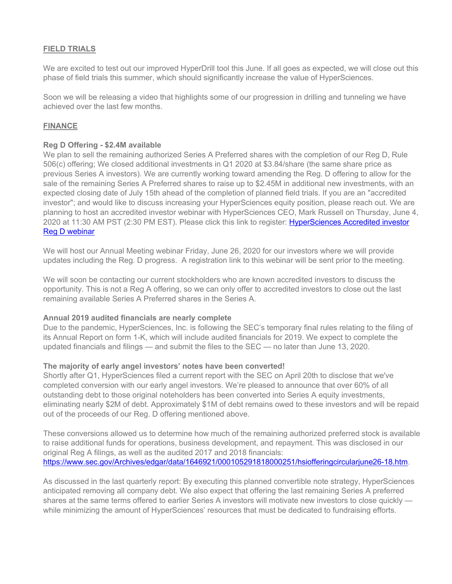## **FIELD TRIALS**

We are excited to test out our improved HyperDrill tool this June. If all goes as expected, we will close out this phase of field trials this summer, which should significantly increase the value of HyperSciences.

Soon we will be releasing a video that highlights some of our progression in drilling and tunneling we have achieved over the last few months.

## **FINANCE**

### **Reg D Offering - \$2.4M available**

We plan to sell the remaining authorized Series A Preferred shares with the completion of our Reg D, Rule 506(c) offering; We closed additional investments in Q1 2020 at \$3.84/share (the same share price as previous Series A investors). We are currently working toward amending the Reg. D offering to allow for the sale of the remaining Series A Preferred shares to raise up to \$2.45M in additional new investments, with an expected closing date of July 15th ahead of the completion of planned field trials. If you are an "accredited investor"; and would like to discuss increasing your HyperSciences equity position, please reach out. We are planning to host an accredited investor webinar with HyperSciences CEO, Mark Russell on Thursday, June 4, 2020 at 11:30 AM PST (2:30 PM EST). Please click this link to register: HyperSciences Accredited investor [Reg D webinar](https://us02web.zoom.us/webinar/register/9215893097026/WN_giZ2LkMGRTuG9FfsFAzgfg) 

We will host our Annual Meeting webinar Friday, June 26, 2020 for our investors where we will provide updates including the Reg. D progress. A registration link to this webinar will be sent prior to the meeting.

We will soon be contacting our current stockholders who are known accredited investors to discuss the opportunity. This is not a Reg A offering, so we can only offer to accredited investors to close out the last remaining available Series A Preferred shares in the Series A.

#### **Annual 2019 audited financials are nearly complete**

Due to the pandemic, HyperSciences, Inc. is following the SEC's temporary final rules relating to the filing of its Annual Report on form 1-K, which will include audited financials for 2019. We expect to complete the updated financials and filings — and submit the files to the SEC — no later than June 13, 2020.

#### **The majority of early angel investors' notes have been converted!**

Shortly after Q1, HyperSciences filed a current report with the SEC on April 20th to disclose that we've completed conversion with our early angel investors. We're pleased to announce that over 60% of all outstanding debt to those original noteholders has been converted into Series A equity investments, eliminating nearly \$2M of debt. Approximately \$1M of debt remains owed to these investors and will be repaid out of the proceeds of our Reg. D offering mentioned above.

These conversions allowed us to determine how much of the remaining authorized preferred stock is available to raise additional funds for operations, business development, and repayment. This was disclosed in our original Reg A filings, as well as the audited 2017 and 2018 financials: [https://www.sec.gov/Archives/edgar/data/1646921/000105291818000251/hsiofferingcircularjune26-18.htm.](https://www.sec.gov/Archives/edgar/data/1646921/000105291818000251/hsiofferingcircularjune26-18.htm)

As discussed in the last quarterly report: By executing this planned convertible note strategy, HyperSciences anticipated removing all company debt. We also expect that offering the last remaining Series A preferred shares at the same terms offered to earlier Series A investors will motivate new investors to close quickly while minimizing the amount of HyperSciences' resources that must be dedicated to fundraising efforts.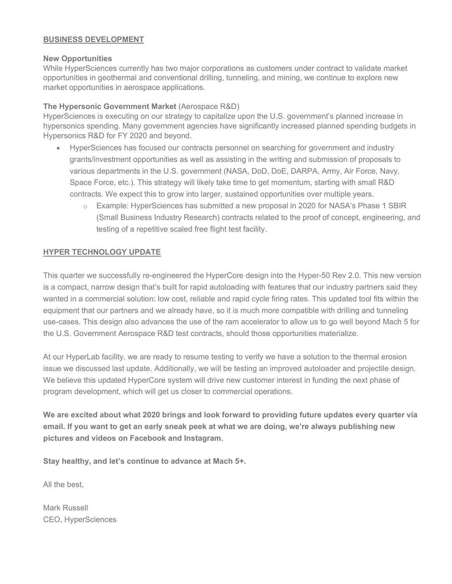# **BUSINESS DEVELOPMENT**

## **New Opportunities**

While HyperSciences currently has two major corporations as customers under contract to validate market opportunities in geothermal and conventional drilling, tunneling, and mining, we continue to explore new market opportunities in aerospace applications.

# **The Hypersonic Government Market** (Aerospace R&D)

HyperSciences is executing on our strategy to capitalize upon the U.S. government's planned increase in hypersonics spending. Many government agencies have significantly increased planned spending budgets in Hypersonics R&D for FY 2020 and beyond.

- HyperSciences has focused our contracts personnel on searching for government and industry grants/investment opportunities as well as assisting in the writing and submission of proposals to various departments in the U.S. government (NASA, DoD, DoE, DARPA, Army, Air Force, Navy, Space Force, etc.). This strategy will likely take time to get momentum, starting with small R&D contracts. We expect this to grow into larger, sustained opportunities over multiple years.
	- o Example: HyperSciences has submitted a new proposal in 2020 for NASA's Phase 1 SBIR (Small Business Industry Research) contracts related to the proof of concept, engineering, and testing of a repetitive scaled free flight test facility.

# **HYPER TECHNOLOGY UPDATE**

This quarter we successfully re-engineered the HyperCore design into the Hyper-50 Rev 2.0. This new version is a compact, narrow design that's built for rapid autoloading with features that our industry partners said they wanted in a commercial solution: low cost, reliable and rapid cycle firing rates. This updated tool fits within the equipment that our partners and we already have, so it is much more compatible with drilling and tunneling use-cases. This design also advances the use of the ram accelerator to allow us to go well beyond Mach 5 for the U.S. Government Aerospace R&D test contracts, should those opportunities materialize.

At our HyperLab facility, we are ready to resume testing to verify we have a solution to the thermal erosion issue we discussed last update. Additionally, we will be testing an improved autoloader and projectile design. We believe this updated HyperCore system will drive new customer interest in funding the next phase of program development, which will get us closer to commercial operations.

**We are excited about what 2020 brings and look forward to providing future updates every quarter via email. If you want to get an early sneak peek at what we are doing, we're always publishing new pictures and videos on Facebook and Instagram.**

**Stay healthy, and let's continue to advance at Mach 5+.**

All the best,

Mark Russell CEO, HyperSciences